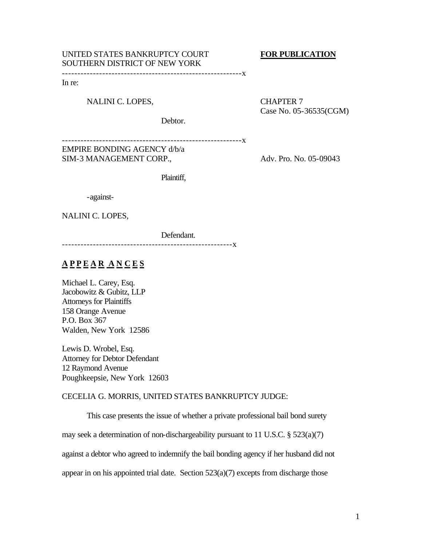# UNITED STATES BANKRUPTCY COURT **FOR PUBLICATION**  SOUTHERN DISTRICT OF NEW YORK

----------------------------------------------------------x

In re:

NALINI C. LOPES, CHAPTER 7

Case No. 05-36535(CGM)

Debtor.

----------------------------------------------------------x EMPIRE BONDING AGENCY d/b/a

SIM-3 MANAGEMENT CORP., Adv. Pro. No. 05-09043

Plaintiff,

-against-

NALINI C. LOPES,

Defendant.

-------------------------------------------------------x

# **A P P E A R A N C E S**

Michael L. Carey, Esq. Jacobowitz & Gubitz, LLP Attorneys for Plaintiffs 158 Orange Avenue P.O. Box 367 Walden, New York 12586

Lewis D. Wrobel, Esq. Attorney for Debtor Defendant 12 Raymond Avenue Poughkeepsie, New York 12603

# CECELIA G. MORRIS, UNITED STATES BANKRUPTCY JUDGE:

This case presents the issue of whether a private professional bail bond surety

may seek a determination of non-dischargeability pursuant to 11 U.S.C. § 523(a)(7)

against a debtor who agreed to indemnify the bail bonding agency if her husband did not

appear in on his appointed trial date. Section  $523(a)(7)$  excepts from discharge those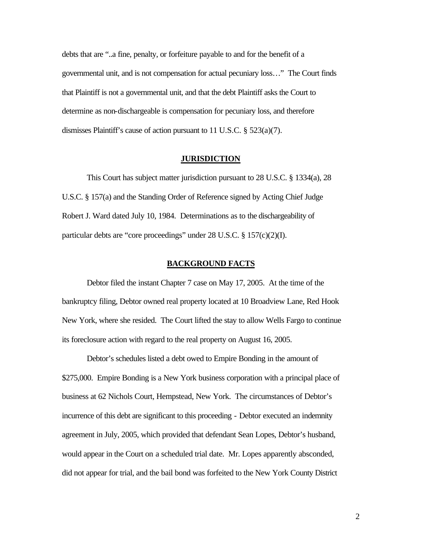debts that are "..a fine, penalty, or forfeiture payable to and for the benefit of a governmental unit, and is not compensation for actual pecuniary loss…" The Court finds that Plaintiff is not a governmental unit, and that the debt Plaintiff asks the Court to determine as non-dischargeable is compensation for pecuniary loss, and therefore dismisses Plaintiff's cause of action pursuant to 11 U.S.C. § 523(a)(7).

# **JURISDICTION**

This Court has subject matter jurisdiction pursuant to 28 U.S.C. § 1334(a), 28 U.S.C. § 157(a) and the Standing Order of Reference signed by Acting Chief Judge Robert J. Ward dated July 10, 1984. Determinations as to the dischargeability of particular debts are "core proceedings" under 28 U.S.C. § 157(c)(2)(I).

# **BACKGROUND FACTS**

Debtor filed the instant Chapter 7 case on May 17, 2005. At the time of the bankruptcy filing, Debtor owned real property located at 10 Broadview Lane, Red Hook New York, where she resided. The Court lifted the stay to allow Wells Fargo to continue its foreclosure action with regard to the real property on August 16, 2005.

Debtor's schedules listed a debt owed to Empire Bonding in the amount of \$275,000. Empire Bonding is a New York business corporation with a principal place of business at 62 Nichols Court, Hempstead, New York. The circumstances of Debtor's incurrence of this debt are significant to this proceeding - Debtor executed an indemnity agreement in July, 2005, which provided that defendant Sean Lopes, Debtor's husband, would appear in the Court on a scheduled trial date. Mr. Lopes apparently absconded, did not appear for trial, and the bail bond was forfeited to the New York County District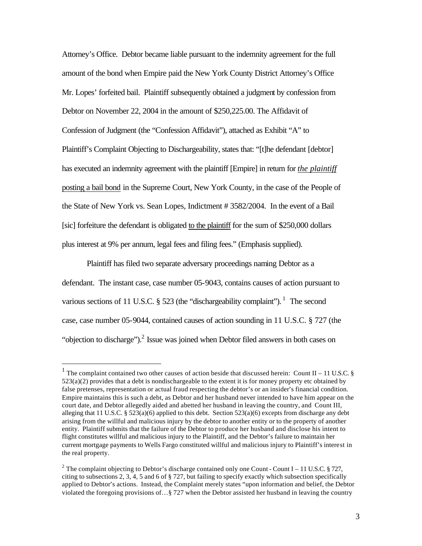Attorney's Office. Debtor became liable pursuant to the indemnity agreement for the full amount of the bond when Empire paid the New York County District Attorney's Office Mr. Lopes' forfeited bail. Plaintiff subsequently obtained a judgment by confession from Debtor on November 22, 2004 in the amount of \$250,225.00. The Affidavit of Confession of Judgment (the "Confession Affidavit"), attached as Exhibit "A" to Plaintiff's Complaint Objecting to Dischargeability, states that: "[t]he defendant [debtor] has executed an indemnity agreement with the plaintiff [Empire] in return for *the plaintiff*  posting a bail bond in the Supreme Court, New York County, in the case of the People of the State of New York vs. Sean Lopes, Indictment # 3582/2004. In the event of a Bail [sic] forfeiture the defendant is obligated to the plaintiff for the sum of \$250,000 dollars plus interest at 9% per annum, legal fees and filing fees." (Emphasis supplied).

Plaintiff has filed two separate adversary proceedings naming Debtor as a defendant. The instant case, case number 05-9043, contains causes of action pursuant to various sections of 11 U.S.C.  $\S$  523 (the "dischargeability complaint").<sup>1</sup> The second case, case number 05-9044, contained causes of action sounding in 11 U.S.C. § 727 (the "objection to discharge"). $^2$  Issue was joined when Debtor filed answers in both cases on

 $\overline{a}$ 

<sup>&</sup>lt;sup>1</sup> The complaint contained two other causes of action beside that discussed herein: Count II – 11 U.S.C. §  $523(a)(2)$  provides that a debt is nondischargeable to the extent it is for money property etc obtained by false pretenses, representation or actual fraud respecting the debtor's or an insider's financial condition. Empire maintains this is such a debt, as Debtor and her husband never intended to have him appear on the court date, and Debtor allegedly aided and abetted her husband in leaving the country, and Count III, alleging that 11 U.S.C. § 523(a)(6) applied to this debt. Section 523(a)(6) excepts from discharge any debt arising from the willful and malicious injury by the debtor to another entity or to the property of another entity. Plaintiff submits that the failure of the Debtor to produce her husband and disclose his intent to flight constitutes willful and malicious injury to the Plaintiff, and the Debtor's failure to maintain her current mortgage payments to Wells Fargo constituted willful and malicious injury to Plaintiff's interest in the real property.

<sup>&</sup>lt;sup>2</sup> The complaint objecting to Debtor's discharge contained only one Count - Count I – 11 U.S.C. § 727, citing to subsections 2, 3, 4, 5 and 6 of § 727, but failing to specify exactly which subsection specifically applied to Debtor's actions. Instead, the Complaint merely states "upon information and belief, the Debtor violated the foregoing provisions of…§ 727 when the Debtor assisted her husband in leaving the country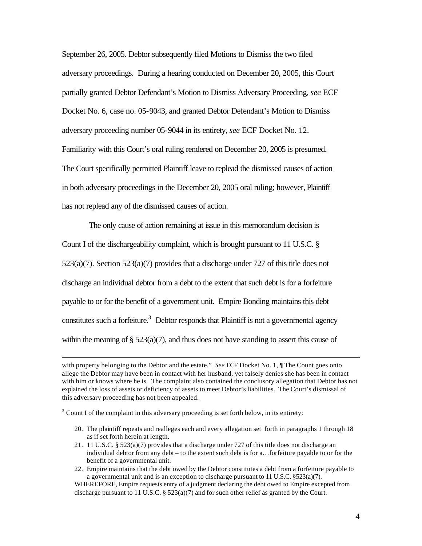September 26, 2005. Debtor subsequently filed Motions to Dismiss the two filed adversary proceedings. During a hearing conducted on December 20, 2005, this Court partially granted Debtor Defendant's Motion to Dismiss Adversary Proceeding, *see* ECF Docket No. 6, case no. 05-9043, and granted Debtor Defendant's Motion to Dismiss adversary proceeding number 05-9044 in its entirety, *see* ECF Docket No. 12. Familiarity with this Court's oral ruling rendered on December 20, 2005 is presumed. The Court specifically permitted Plaintiff leave to replead the dismissed causes of action in both adversary proceedings in the December 20, 2005 oral ruling; however, Plaintiff has not replead any of the dismissed causes of action.

 The only cause of action remaining at issue in this memorandum decision is Count I of the dischargeability complaint, which is brought pursuant to 11 U.S.C. §  $523(a)(7)$ . Section  $523(a)(7)$  provides that a discharge under 727 of this title does not discharge an individual debtor from a debt to the extent that such debt is for a forfeiture payable to or for the benefit of a government unit. Empire Bonding maintains this debt constitutes such a forfeiture. $3$  Debtor responds that Plaintiff is not a governmental agency within the meaning of  $\S$  523(a)(7), and thus does not have standing to assert this cause of

 $3$  Count I of the complaint in this adversary proceeding is set forth below, in its entirety:

 $\overline{a}$ 

- 20. The plaintiff repeats and realleges each and every allegation set forth in paragraphs 1 through 18 as if set forth herein at length.
- 21. 11 U.S.C. § 523(a)(7) provides that a discharge under 727 of this title does not discharge an individual debtor from any debt – to the extent such debt is for a…forfeiture payable to or for the benefit of a governmental unit.
- 22. Empire maintains that the debt owed by the Debtor constitutes a debt from a forfeiture payable to a governmental unit and is an exception to discharge pursuant to 11 U.S.C. §523(a)(7).

WHEREFORE, Empire requests entry of a judgment declaring the debt owed to Empire excepted from discharge pursuant to 11 U.S.C. § 523(a)(7) and for such other relief as granted by the Court.

with property belonging to the Debtor and the estate." *See* ECF Docket No. 1, *If* The Count goes onto allege the Debtor may have been in contact with her husband, yet falsely denies she has been in contact with him or knows where he is. The complaint also contained the conclusory allegation that Debtor has not explained the loss of assets or deficiency of assets to meet Debtor's liabilities. The Court's dismissal of this adversary proceeding has not been appealed.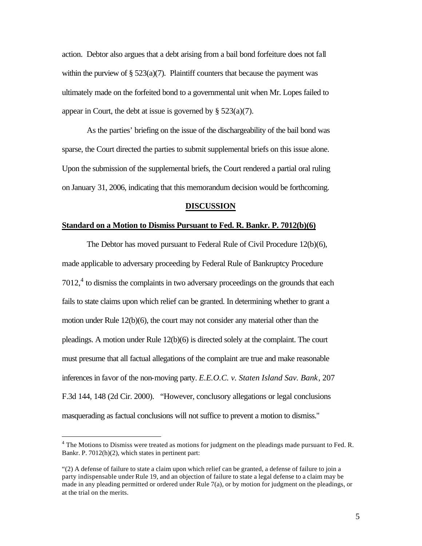action. Debtor also argues that a debt arising from a bail bond forfeiture does not fall within the purview of  $\S 523(a)(7)$ . Plaintiff counters that because the payment was ultimately made on the forfeited bond to a governmental unit when Mr. Lopes failed to appear in Court, the debt at issue is governed by  $\S$  523(a)(7).

As the parties' briefing on the issue of the dischargeability of the bail bond was sparse, the Court directed the parties to submit supplemental briefs on this issue alone. Upon the submission of the supplemental briefs, the Court rendered a partial oral ruling on January 31, 2006, indicating that this memorandum decision would be forthcoming.

#### **DISCUSSION**

# **Standard on a Motion to Dismiss Pursuant to Fed. R. Bankr. P. 7012(b)(6)**

The Debtor has moved pursuant to Federal Rule of Civil Procedure 12(b)(6), made applicable to adversary proceeding by Federal Rule of Bankruptcy Procedure  $7012<sup>4</sup>$  to dismiss the complaints in two adversary proceedings on the grounds that each fails to state claims upon which relief can be granted. In determining whether to grant a motion under Rule 12(b)(6), the court may not consider any material other than the pleadings. A motion under Rule 12(b)(6) is directed solely at the complaint. The court must presume that all factual allegations of the complaint are true and make reasonable inferences in favor of the non-moving party. *E.E.O.C. v. Staten Island Sav. Bank*, 207 F.3d 144, 148 (2d Cir. 2000). "However, conclusory allegations or legal conclusions masquerading as factual conclusions will not suffice to prevent a motion to dismiss."

 $\overline{a}$ 

<sup>&</sup>lt;sup>4</sup> The Motions to Dismiss were treated as motions for judgment on the pleadings made pursuant to Fed. R. Bankr. P. 7012(h)(2), which states in pertinent part:

<sup>&</sup>quot;(2) A defense of failure to state a claim upon which relief can be granted, a defense of failure to join a party indispensable under Rule 19, and an objection of failure to state a legal defense to a claim may be made in any pleading permitted or ordered under Rule 7(a), or by motion for judgment on the pleadings, or at the trial on the merits.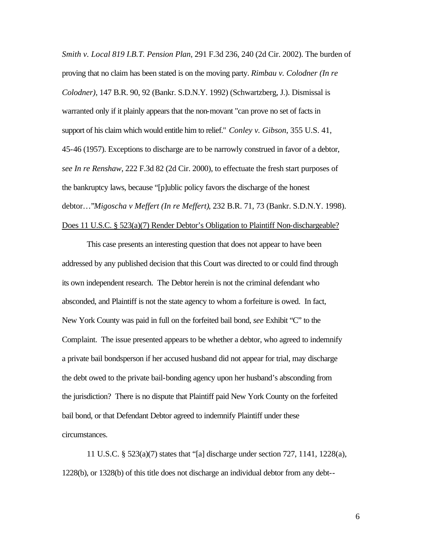*Smith v. Local 819 I.B.T. Pension Plan*, 291 F.3d 236, 240 (2d Cir. 2002). The burden of proving that no claim has been stated is on the moving party. *Rimbau v. Colodner (In re Colodner)*, 147 B.R. 90, 92 (Bankr. S.D.N.Y. 1992) (Schwartzberg, J.). Dismissal is warranted only if it plainly appears that the non-movant "can prove no set of facts in support of his claim which would entitle him to relief." *Conley v. Gibson*, 355 U.S. 41, 45-46 (1957). Exceptions to discharge are to be narrowly construed in favor of a debtor, *see In re Renshaw*, 222 F.3d 82 (2d Cir. 2000), to effectuate the fresh start purposes of the bankruptcy laws, because "[p]ublic policy favors the discharge of the honest debtor…"*Migoscha v Meffert (In re Meffert)*, 232 B.R. 71, 73 (Bankr. S.D.N.Y. 1998). Does 11 U.S.C. § 523(a)(7) Render Debtor's Obligation to Plaintiff Non-dischargeable?

This case presents an interesting question that does not appear to have been addressed by any published decision that this Court was directed to or could find through its own independent research. The Debtor herein is not the criminal defendant who absconded, and Plaintiff is not the state agency to whom a forfeiture is owed. In fact, New York County was paid in full on the forfeited bail bond, *see* Exhibit "C" to the Complaint. The issue presented appears to be whether a debtor, who agreed to indemnify a private bail bondsperson if her accused husband did not appear for trial, may discharge the debt owed to the private bail-bonding agency upon her husband's absconding from the jurisdiction? There is no dispute that Plaintiff paid New York County on the forfeited bail bond, or that Defendant Debtor agreed to indemnify Plaintiff under these circumstances.

11 U.S.C. § 523(a)(7) states that "[a] discharge under section 727, 1141, 1228(a), 1228(b), or 1328(b) of this title does not discharge an individual debtor from any debt--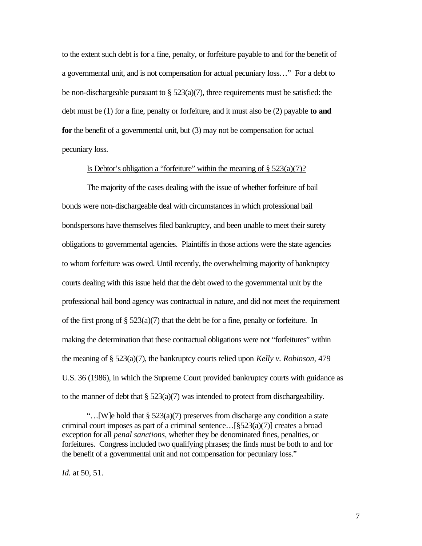to the extent such debt is for a fine, penalty, or forfeiture payable to and for the benefit of a governmental unit, and is not compensation for actual pecuniary loss…" For a debt to be non-dischargeable pursuant to  $\S$  523(a)(7), three requirements must be satisfied: the debt must be (1) for a fine, penalty or forfeiture, and it must also be (2) payable **to and for** the benefit of a governmental unit, but (3) may not be compensation for actual pecuniary loss.

## Is Debtor's obligation a "forfeiture" within the meaning of  $\S 523(a)(7)$ ?

The majority of the cases dealing with the issue of whether forfeiture of bail bonds were non-dischargeable deal with circumstances in which professional bail bondspersons have themselves filed bankruptcy, and been unable to meet their surety obligations to governmental agencies. Plaintiffs in those actions were the state agencies to whom forfeiture was owed. Until recently, the overwhelming majority of bankruptcy courts dealing with this issue held that the debt owed to the governmental unit by the professional bail bond agency was contractual in nature, and did not meet the requirement of the first prong of  $\S$  523(a)(7) that the debt be for a fine, penalty or forfeiture. In making the determination that these contractual obligations were not "forfeitures" within the meaning of § 523(a)(7), the bankruptcy courts relied upon *Kelly v. Robinson*, 479 U.S. 36 (1986), in which the Supreme Court provided bankruptcy courts with guidance as to the manner of debt that  $\S 523(a)(7)$  was intended to protect from dischargeability.

"…[W]e hold that § 523(a)(7) preserves from discharge any condition a state criminal court imposes as part of a criminal sentence…[§523(a)(7)] creates a broad exception for all *penal sanctions*, whether they be denominated fines, penalties, or forfeitures. Congress included two qualifying phrases; the finds must be both to and for the benefit of a governmental unit and not compensation for pecuniary loss."

*Id.* at 50, 51.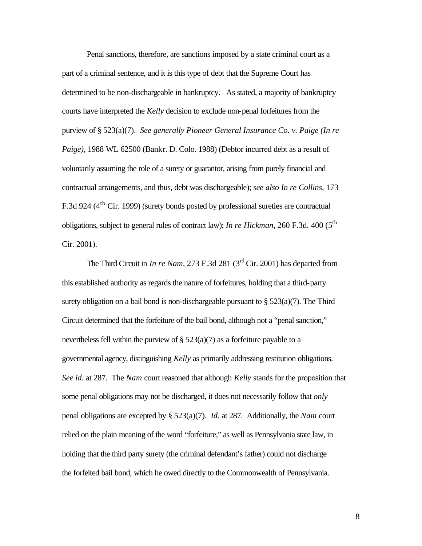Penal sanctions, therefore, are sanctions imposed by a state criminal court as a part of a criminal sentence, and it is this type of debt that the Supreme Court has determined to be non-dischargeable in bankruptcy. As stated, a majority of bankruptcy courts have interpreted the *Kelly* decision to exclude non-penal forfeitures from the purview of § 523(a)(7). *See generally Pioneer General Insurance Co. v. Paige (In re Paige)*, 1988 WL 62500 (Bankr. D. Colo. 1988) (Debtor incurred debt as a result of voluntarily assuming the role of a surety or guarantor, arising from purely financial and contractual arrangements, and thus, debt was dischargeable); s*ee also In re Collins,* 173 F.3d 924 (4<sup>th</sup> Cir. 1999) (surety bonds posted by professional sureties are contractual obligations, subject to general rules of contract law); *In re Hickman*, 260 F.3d. 400 (5<sup>th</sup>) Cir. 2001).

The Third Circuit in *In re Nam,* 273 F.3d 281 (3rd Cir. 2001) has departed from this established authority as regards the nature of forfeitures, holding that a third-party surety obligation on a bail bond is non-dischargeable pursuant to  $\S$  523(a)(7). The Third Circuit determined that the forfeiture of the bail bond, although not a "penal sanction," nevertheless fell within the purview of  $\S$  523(a)(7) as a forfeiture payable to a governmental agency, distinguishing *Kelly* as primarily addressing restitution obligations. *See id.* at 287. The *Nam* court reasoned that although *Kelly* stands for the proposition that some penal obligations may not be discharged, it does not necessarily follow that *only*  penal obligations are excepted by § 523(a)(7). *Id.* at 287. Additionally, the *Nam* court relied on the plain meaning of the word "forfeiture," as well as Pennsylvania state law, in holding that the third party surety (the criminal defendant's father) could not discharge the forfeited bail bond, which he owed directly to the Commonwealth of Pennsylvania.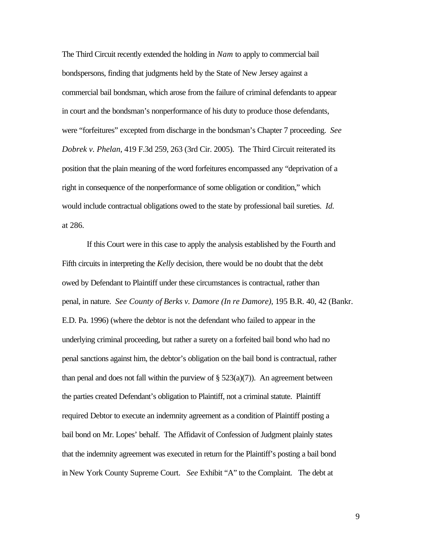The Third Circuit recently extended the holding in *Nam* to apply to commercial bail bondspersons, finding that judgments held by the State of New Jersey against a commercial bail bondsman, which arose from the failure of criminal defendants to appear in court and the bondsman's nonperformance of his duty to produce those defendants, were "forfeitures" excepted from discharge in the bondsman's Chapter 7 proceeding. *See Dobrek v. Phelan*, 419 F.3d 259, 263 (3rd Cir. 2005). The Third Circuit reiterated its position that the plain meaning of the word forfeitures encompassed any "deprivation of a right in consequence of the nonperformance of some obligation or condition," which would include contractual obligations owed to the state by professional bail sureties. *Id.*  at 286.

If this Court were in this case to apply the analysis established by the Fourth and Fifth circuits in interpreting the *Kelly* decision, there would be no doubt that the debt owed by Defendant to Plaintiff under these circumstances is contractual, rather than penal, in nature. *See County of Berks v. Damore (In re Damore)*, 195 B.R. 40, 42 (Bankr. E.D. Pa. 1996) (where the debtor is not the defendant who failed to appear in the underlying criminal proceeding, but rather a surety on a forfeited bail bond who had no penal sanctions against him, the debtor's obligation on the bail bond is contractual, rather than penal and does not fall within the purview of  $\S 523(a)(7)$ . An agreement between the parties created Defendant's obligation to Plaintiff, not a criminal statute. Plaintiff required Debtor to execute an indemnity agreement as a condition of Plaintiff posting a bail bond on Mr. Lopes' behalf. The Affidavit of Confession of Judgment plainly states that the indemnity agreement was executed in return for the Plaintiff's posting a bail bond in New York County Supreme Court. *See* Exhibit "A" to the Complaint. The debt at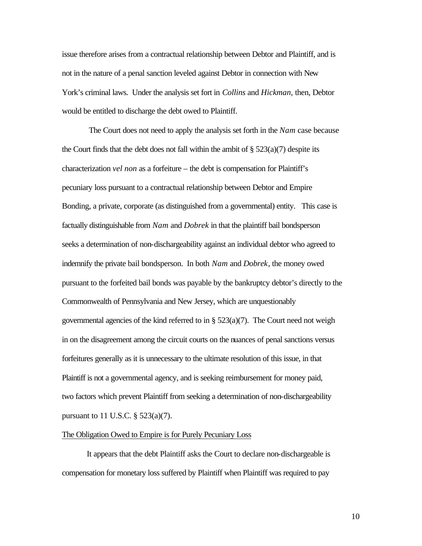issue therefore arises from a contractual relationship between Debtor and Plaintiff, and is not in the nature of a penal sanction leveled against Debtor in connection with New York's criminal laws. Under the analysis set fort in *Collins* and *Hickman,* then, Debtor would be entitled to discharge the debt owed to Plaintiff.

 The Court does not need to apply the analysis set forth in the *Nam* case because the Court finds that the debt does not fall within the ambit of  $\S 523(a)(7)$  despite its characterization *vel non* as a forfeiture – the debt is compensation for Plaintiff's pecuniary loss pursuant to a contractual relationship between Debtor and Empire Bonding, a private, corporate (as distinguished from a governmental) entity. This case is factually distinguishable from *Nam* and *Dobrek* in that the plaintiff bail bondsperson seeks a determination of non-dischargeability against an individual debtor who agreed to indemnify the private bail bondsperson. In both *Nam* and *Dobrek*, the money owed pursuant to the forfeited bail bonds was payable by the bankruptcy debtor's directly to the Commonwealth of Pennsylvania and New Jersey, which are unquestionably governmental agencies of the kind referred to in §  $523(a)(7)$ . The Court need not weigh in on the disagreement among the circuit courts on the nuances of penal sanctions versus forfeitures generally as it is unnecessary to the ultimate resolution of this issue, in that Plaintiff is not a governmental agency, and is seeking reimbursement for money paid, two factors which prevent Plaintiff from seeking a determination of non-dischargeability pursuant to 11 U.S.C.  $\S$  523(a)(7).

#### The Obligation Owed to Empire is for Purely Pecuniary Loss

It appears that the debt Plaintiff asks the Court to declare non-dischargeable is compensation for monetary loss suffered by Plaintiff when Plaintiff was required to pay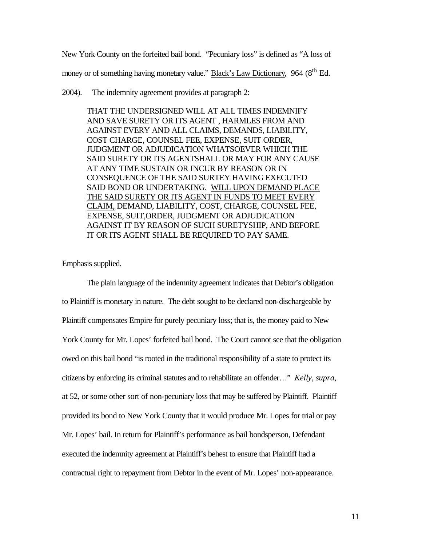New York County on the forfeited bail bond. "Pecuniary loss" is defined as "A loss of

money or of something having monetary value." Black's Law Dictionary, 964 (8<sup>th</sup> Ed.

#### 2004). The indemnity agreement provides at paragraph 2:

THAT THE UNDERSIGNED WILL AT ALL TIMES INDEMNIFY AND SAVE SURETY OR ITS AGENT , HARMLES FROM AND AGAINST EVERY AND ALL CLAIMS, DEMANDS, LIABILITY, COST CHARGE, COUNSEL FEE, EXPENSE, SUIT ORDER, JUDGMENT OR ADJUDICATION WHATSOEVER WHICH THE SAID SURETY OR ITS AGENTSHALL OR MAY FOR ANY CAUSE AT ANY TIME SUSTAIN OR INCUR BY REASON OR IN CONSEQUENCE OF THE SAID SURTEY HAVING EXECUTED SAID BOND OR UNDERTAKING. WILL UPON DEMAND PLACE THE SAID SURETY OR ITS AGENT IN FUNDS TO MEET EVERY CLAIM, DEMAND, LIABILITY, COST, CHARGE, COUNSEL FEE, EXPENSE, SUIT,ORDER, JUDGMENT OR ADJUDICATION AGAINST IT BY REASON OF SUCH SURETYSHIP, AND BEFORE IT OR ITS AGENT SHALL BE REQUIRED TO PAY SAME.

Emphasis supplied.

The plain language of the indemnity agreement indicates that Debtor's obligation to Plaintiff is monetary in nature. The debt sought to be declared non-dischargeable by Plaintiff compensates Empire for purely pecuniary loss; that is, the money paid to New York County for Mr. Lopes' forfeited bail bond. The Court cannot see that the obligation owed on this bail bond "is rooted in the traditional responsibility of a state to protect its citizens by enforcing its criminal statutes and to rehabilitate an offender…" *Kelly, supra*, at 52, or some other sort of non-pecuniary loss that may be suffered by Plaintiff. Plaintiff provided its bond to New York County that it would produce Mr. Lopes for trial or pay Mr. Lopes' bail. In return for Plaintiff's performance as bail bondsperson, Defendant executed the indemnity agreement at Plaintiff's behest to ensure that Plaintiff had a contractual right to repayment from Debtor in the event of Mr. Lopes' non-appearance.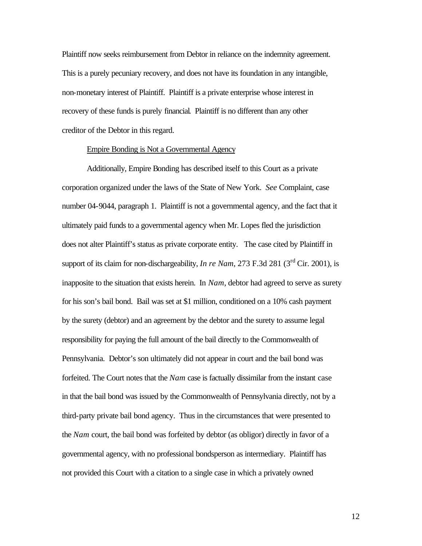Plaintiff now seeks reimbursement from Debtor in reliance on the indemnity agreement. This is a purely pecuniary recovery, and does not have its foundation in any intangible, non-monetary interest of Plaintiff. Plaintiff is a private enterprise whose interest in recovery of these funds is purely financial. Plaintiff is no different than any other creditor of the Debtor in this regard.

#### Empire Bonding is Not a Governmental Agency

Additionally, Empire Bonding has described itself to this Court as a private corporation organized under the laws of the State of New York. *See* Complaint, case number 04-9044, paragraph 1. Plaintiff is not a governmental agency, and the fact that it ultimately paid funds to a governmental agency when Mr. Lopes fled the jurisdiction does not alter Plaintiff's status as private corporate entity. The case cited by Plaintiff in support of its claim for non-dischargeability, *In re Nam*, 273 F.3d 281 ( $3<sup>rd</sup>$  Cir. 2001), is inapposite to the situation that exists herein. In *Nam*, debtor had agreed to serve as surety for his son's bail bond. Bail was set at \$1 million, conditioned on a 10% cash payment by the surety (debtor) and an agreement by the debtor and the surety to assume legal responsibility for paying the full amount of the bail directly to the Commonwealth of Pennsylvania. Debtor's son ultimately did not appear in court and the bail bond was forfeited. The Court notes that the *Nam* case is factually dissimilar from the instant case in that the bail bond was issued by the Commonwealth of Pennsylvania directly, not by a third-party private bail bond agency. Thus in the circumstances that were presented to the *Nam* court, the bail bond was forfeited by debtor (as obligor) directly in favor of a governmental agency, with no professional bondsperson as intermediary. Plaintiff has not provided this Court with a citation to a single case in which a privately owned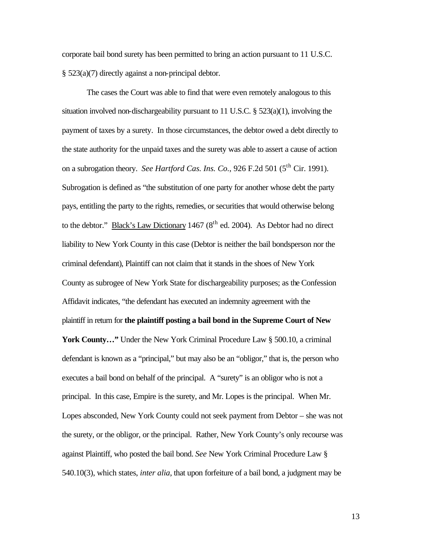corporate bail bond surety has been permitted to bring an action pursuant to 11 U.S.C. § 523(a)(7) directly against a non-principal debtor.

The cases the Court was able to find that were even remotely analogous to this situation involved non-dischargeability pursuant to 11 U.S.C.  $\S$  523(a)(1), involving the payment of taxes by a surety. In those circumstances, the debtor owed a debt directly to the state authority for the unpaid taxes and the surety was able to assert a cause of action on a subrogation theory. *See Hartford Cas. Ins. Co.*, 926 F.2d 501 (5<sup>th</sup> Cir. 1991). Subrogation is defined as "the substitution of one party for another whose debt the party pays, entitling the party to the rights, remedies, or securities that would otherwise belong to the debtor." Black's Law Dictionary 1467 ( $8<sup>th</sup>$  ed. 2004). As Debtor had no direct liability to New York County in this case (Debtor is neither the bail bondsperson nor the criminal defendant), Plaintiff can not claim that it stands in the shoes of New York County as subrogee of New York State for dischargeability purposes; as the Confession Affidavit indicates, "the defendant has executed an indemnity agreement with the plaintiff in return for **the plaintiff posting a bail bond in the Supreme Court of New** 

York County..." Under the New York Criminal Procedure Law § 500.10, a criminal defendant is known as a "principal," but may also be an "obligor," that is, the person who executes a bail bond on behalf of the principal. A "surety" is an obligor who is not a principal. In this case, Empire is the surety, and Mr. Lopes is the principal. When Mr. Lopes absconded, New York County could not seek payment from Debtor – she was not the surety, or the obligor, or the principal. Rather, New York County's only recourse was against Plaintiff, who posted the bail bond. *See* New York Criminal Procedure Law § 540.10(3), which states, *inter alia*, that upon forfeiture of a bail bond, a judgment may be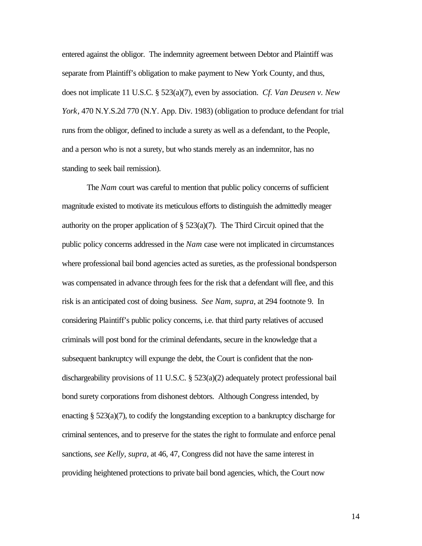entered against the obligor. The indemnity agreement between Debtor and Plaintiff was separate from Plaintiff's obligation to make payment to New York County, and thus, does not implicate 11 U.S.C. § 523(a)(7), even by association. *Cf. Van Deusen v. New York*, 470 N.Y.S.2d 770 (N.Y. App. Div. 1983) (obligation to produce defendant for trial runs from the obligor, defined to include a surety as well as a defendant, to the People, and a person who is not a surety, but who stands merely as an indemnitor, has no standing to seek bail remission).

The *Nam* court was careful to mention that public policy concerns of sufficient magnitude existed to motivate its meticulous efforts to distinguish the admittedly meager authority on the proper application of  $\S$  523(a)(7). The Third Circuit opined that the public policy concerns addressed in the *Nam* case were not implicated in circumstances where professional bail bond agencies acted as sureties, as the professional bondsperson was compensated in advance through fees for the risk that a defendant will flee, and this risk is an anticipated cost of doing business. *See Nam, supra*, at 294 footnote 9. In considering Plaintiff's public policy concerns, i.e. that third party relatives of accused criminals will post bond for the criminal defendants, secure in the knowledge that a subsequent bankruptcy will expunge the debt, the Court is confident that the nondischargeability provisions of 11 U.S.C. § 523(a)(2) adequately protect professional bail bond surety corporations from dishonest debtors. Although Congress intended, by enacting § 523(a)(7), to codify the longstanding exception to a bankruptcy discharge for criminal sentences, and to preserve for the states the right to formulate and enforce penal sanctions, *see Kelly, supra*, at 46, 47, Congress did not have the same interest in providing heightened protections to private bail bond agencies, which, the Court now